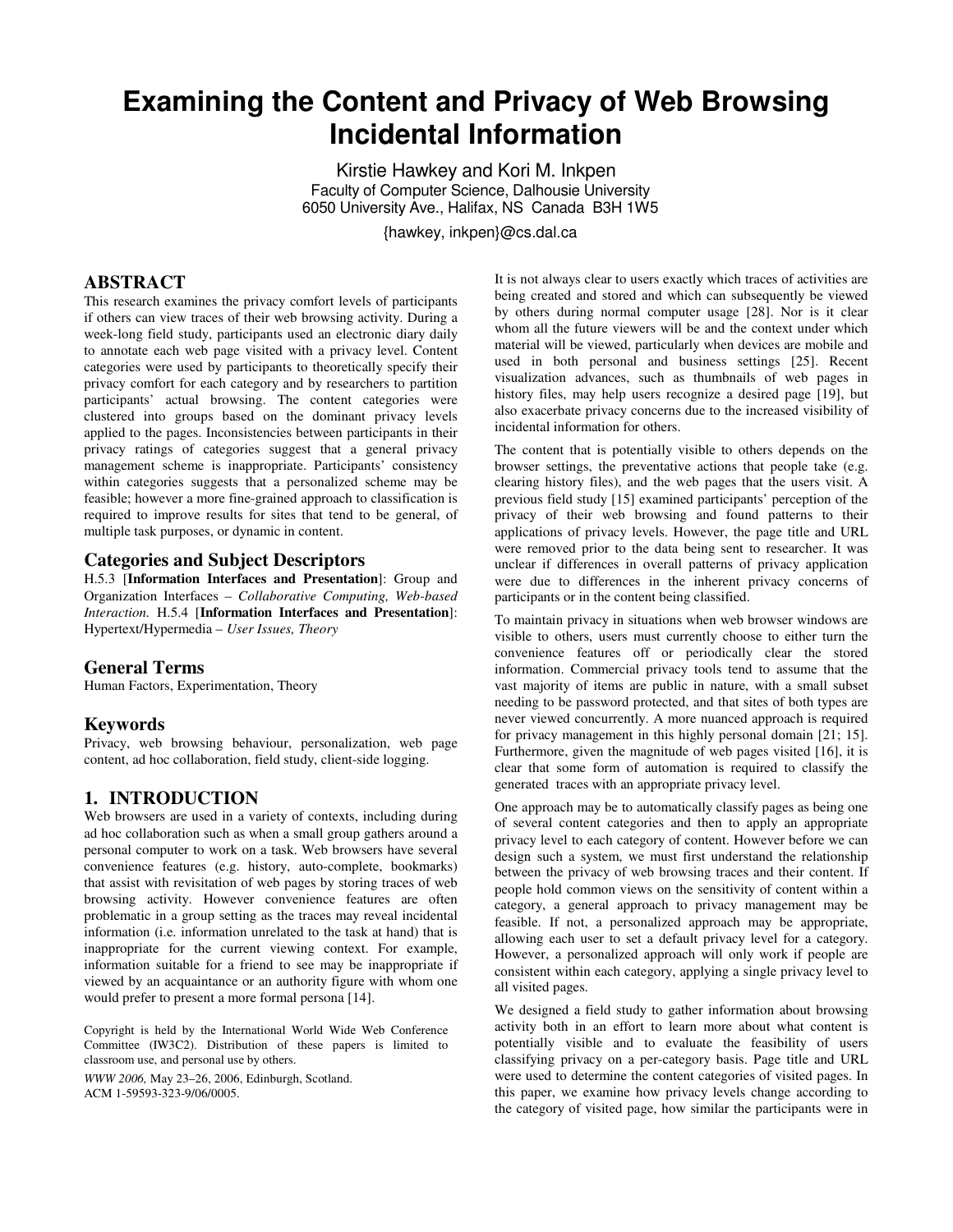# **Examining the Content and Privacy of Web Browsing Incidental Information**

Kirstie Hawkey and Kori M. Inkpen Faculty of Computer Science, Dalhousie University 6050 University Ave., Halifax, NS Canada B3H 1W5

{hawkey, inkpen}@cs.dal.ca

# **ABSTRACT**

This research examines the privacy comfort levels of participants if others can view traces of their web browsing activity. During a week-long field study, participants used an electronic diary daily to annotate each web page visited with a privacy level. Content categories were used by participants to theoretically specify their privacy comfort for each category and by researchers to partition participants' actual browsing. The content categories were clustered into groups based on the dominant privacy levels applied to the pages. Inconsistencies between participants in their privacy ratings of categories suggest that a general privacy management scheme is inappropriate. Participants' consistency within categories suggests that a personalized scheme may be feasible; however a more fine-grained approach to classification is required to improve results for sites that tend to be general, of multiple task purposes, or dynamic in content.

## **Categories and Subject Descriptors**

H.5.3 [**Information Interfaces and Presentation**]: Group and Organization Interfaces – *Collaborative Computing, Web-based Interaction.* H.5.4 [**Information Interfaces and Presentation**]: Hypertext/Hypermedia – *User Issues, Theory*

## **General Terms**

Human Factors, Experimentation, Theory

## **Keywords**

Privacy, web browsing behaviour, personalization, web page content, ad hoc collaboration, field study, client-side logging.

# **1. INTRODUCTION**

Web browsers are used in a variety of contexts, including during ad hoc collaboration such as when a small group gathers around a personal computer to work on a task. Web browsers have several convenience features (e.g. history, auto-complete, bookmarks) that assist with revisitation of web pages by storing traces of web browsing activity. However convenience features are often problematic in a group setting as the traces may reveal incidental information (i.e. information unrelated to the task at hand) that is inappropriate for the current viewing context. For example, information suitable for a friend to see may be inappropriate if viewed by an acquaintance or an authority figure with whom one would prefer to present a more formal persona [14].

Copyright is held by the International World Wide Web Conference Committee (IW3C2). Distribution of these papers is limited to classroom use, and personal use by others.

*WWW 2006,* May 23–26, 2006, Edinburgh, Scotland. ACM 1-59593-323-9/06/0005.

It is not always clear to users exactly which traces of activities are being created and stored and which can subsequently be viewed by others during normal computer usage [28]. Nor is it clear whom all the future viewers will be and the context under which material will be viewed, particularly when devices are mobile and used in both personal and business settings [25]. Recent visualization advances, such as thumbnails of web pages in history files, may help users recognize a desired page [19], but also exacerbate privacy concerns due to the increased visibility of incidental information for others.

The content that is potentially visible to others depends on the browser settings, the preventative actions that people take (e.g. clearing history files), and the web pages that the users visit. A previous field study [15] examined participants' perception of the privacy of their web browsing and found patterns to their applications of privacy levels. However, the page title and URL were removed prior to the data being sent to researcher. It was unclear if differences in overall patterns of privacy application were due to differences in the inherent privacy concerns of participants or in the content being classified.

To maintain privacy in situations when web browser windows are visible to others, users must currently choose to either turn the convenience features off or periodically clear the stored information. Commercial privacy tools tend to assume that the vast majority of items are public in nature, with a small subset needing to be password protected, and that sites of both types are never viewed concurrently. A more nuanced approach is required for privacy management in this highly personal domain [21; 15]. Furthermore, given the magnitude of web pages visited [16], it is clear that some form of automation is required to classify the generated traces with an appropriate privacy level.

One approach may be to automatically classify pages as being one of several content categories and then to apply an appropriate privacy level to each category of content. However before we can design such a system, we must first understand the relationship between the privacy of web browsing traces and their content. If people hold common views on the sensitivity of content within a category, a general approach to privacy management may be feasible. If not, a personalized approach may be appropriate, allowing each user to set a default privacy level for a category. However, a personalized approach will only work if people are consistent within each category, applying a single privacy level to all visited pages.

We designed a field study to gather information about browsing activity both in an effort to learn more about what content is potentially visible and to evaluate the feasibility of users classifying privacy on a per-category basis. Page title and URL were used to determine the content categories of visited pages. In this paper, we examine how privacy levels change according to the category of visited page, how similar the participants were in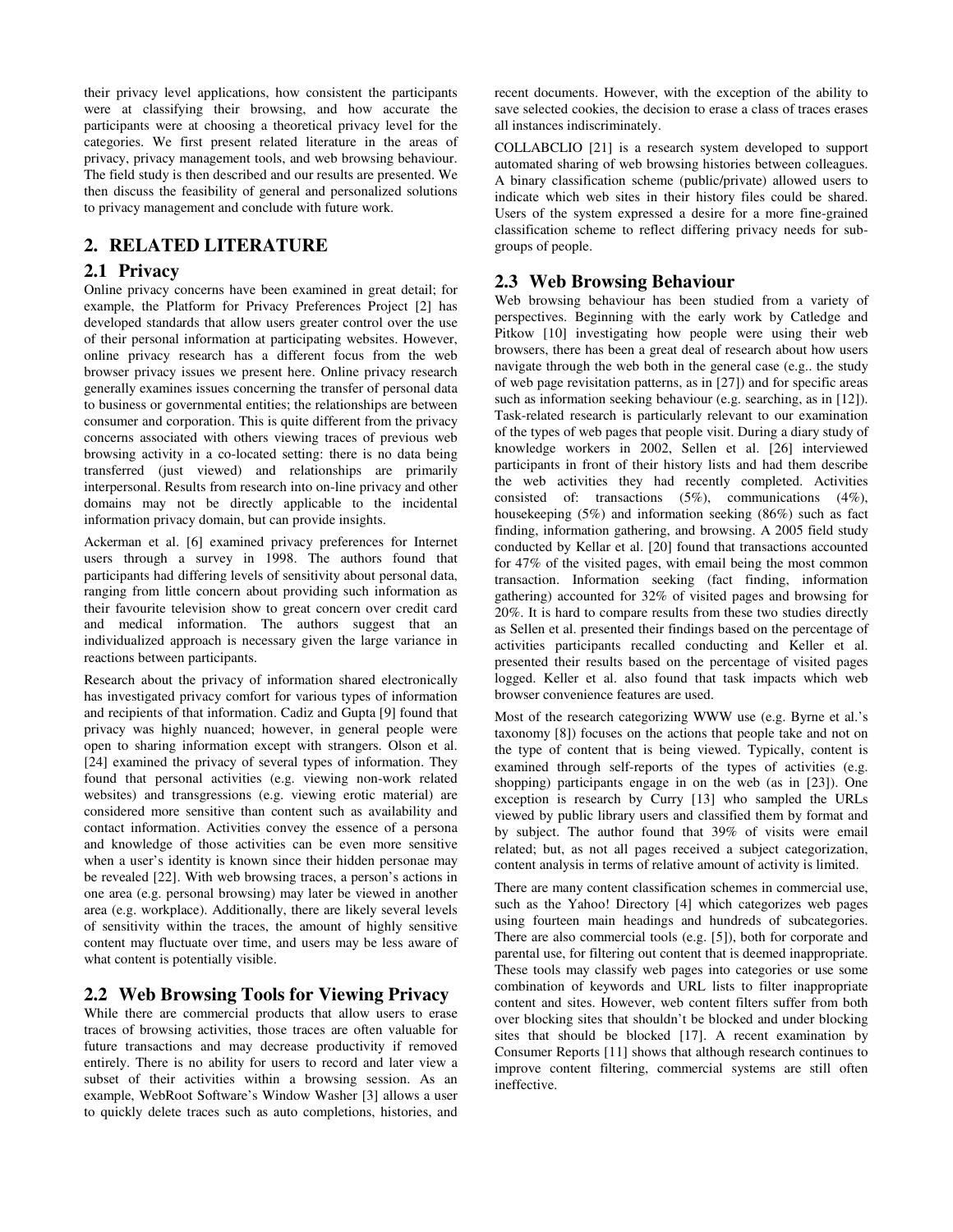their privacy level applications, how consistent the participants were at classifying their browsing, and how accurate the participants were at choosing a theoretical privacy level for the categories. We first present related literature in the areas of privacy, privacy management tools, and web browsing behaviour. The field study is then described and our results are presented. We then discuss the feasibility of general and personalized solutions to privacy management and conclude with future work.

# **2. RELATED LITERATURE**

## **2.1 Privacy**

Online privacy concerns have been examined in great detail; for example, the Platform for Privacy Preferences Project [2] has developed standards that allow users greater control over the use of their personal information at participating websites. However, online privacy research has a different focus from the web browser privacy issues we present here. Online privacy research generally examines issues concerning the transfer of personal data to business or governmental entities; the relationships are between consumer and corporation. This is quite different from the privacy concerns associated with others viewing traces of previous web browsing activity in a co-located setting: there is no data being transferred (just viewed) and relationships are primarily interpersonal. Results from research into on-line privacy and other domains may not be directly applicable to the incidental information privacy domain, but can provide insights.

Ackerman et al. [6] examined privacy preferences for Internet users through a survey in 1998. The authors found that participants had differing levels of sensitivity about personal data, ranging from little concern about providing such information as their favourite television show to great concern over credit card and medical information. The authors suggest that an individualized approach is necessary given the large variance in reactions between participants.

Research about the privacy of information shared electronically has investigated privacy comfort for various types of information and recipients of that information. Cadiz and Gupta [9] found that privacy was highly nuanced; however, in general people were open to sharing information except with strangers. Olson et al. [24] examined the privacy of several types of information. They found that personal activities (e.g. viewing non-work related websites) and transgressions (e.g. viewing erotic material) are considered more sensitive than content such as availability and contact information. Activities convey the essence of a persona and knowledge of those activities can be even more sensitive when a user's identity is known since their hidden personae may be revealed [22]. With web browsing traces, a person's actions in one area (e.g. personal browsing) may later be viewed in another area (e.g. workplace). Additionally, there are likely several levels of sensitivity within the traces, the amount of highly sensitive content may fluctuate over time, and users may be less aware of what content is potentially visible.

## **2.2 Web Browsing Tools for Viewing Privacy**

While there are commercial products that allow users to erase traces of browsing activities, those traces are often valuable for future transactions and may decrease productivity if removed entirely. There is no ability for users to record and later view a subset of their activities within a browsing session. As an example, WebRoot Software's Window Washer [3] allows a user to quickly delete traces such as auto completions, histories, and recent documents. However, with the exception of the ability to save selected cookies, the decision to erase a class of traces erases all instances indiscriminately.

COLLABCLIO [21] is a research system developed to support automated sharing of web browsing histories between colleagues. A binary classification scheme (public/private) allowed users to indicate which web sites in their history files could be shared. Users of the system expressed a desire for a more fine-grained classification scheme to reflect differing privacy needs for subgroups of people.

## **2.3 Web Browsing Behaviour**

Web browsing behaviour has been studied from a variety of perspectives. Beginning with the early work by Catledge and Pitkow [10] investigating how people were using their web browsers, there has been a great deal of research about how users navigate through the web both in the general case (e.g.. the study of web page revisitation patterns, as in [27]) and for specific areas such as information seeking behaviour (e.g. searching, as in [12]). Task-related research is particularly relevant to our examination of the types of web pages that people visit. During a diary study of knowledge workers in 2002, Sellen et al. [26] interviewed participants in front of their history lists and had them describe the web activities they had recently completed. Activities consisted of: transactions (5%), communications (4%), housekeeping (5%) and information seeking (86%) such as fact finding, information gathering, and browsing. A 2005 field study conducted by Kellar et al. [20] found that transactions accounted for 47% of the visited pages, with email being the most common transaction. Information seeking (fact finding, information gathering) accounted for 32% of visited pages and browsing for 20%. It is hard to compare results from these two studies directly as Sellen et al. presented their findings based on the percentage of activities participants recalled conducting and Keller et al. presented their results based on the percentage of visited pages logged. Keller et al. also found that task impacts which web browser convenience features are used.

Most of the research categorizing WWW use (e.g. Byrne et al.'s taxonomy [8]) focuses on the actions that people take and not on the type of content that is being viewed. Typically, content is examined through self-reports of the types of activities (e.g. shopping) participants engage in on the web (as in [23]). One exception is research by Curry [13] who sampled the URLs viewed by public library users and classified them by format and by subject. The author found that 39% of visits were email related; but, as not all pages received a subject categorization, content analysis in terms of relative amount of activity is limited.

There are many content classification schemes in commercial use, such as the Yahoo! Directory [4] which categorizes web pages using fourteen main headings and hundreds of subcategories. There are also commercial tools (e.g. [5]), both for corporate and parental use, for filtering out content that is deemed inappropriate. These tools may classify web pages into categories or use some combination of keywords and URL lists to filter inappropriate content and sites. However, web content filters suffer from both over blocking sites that shouldn't be blocked and under blocking sites that should be blocked [17]. A recent examination by Consumer Reports [11] shows that although research continues to improve content filtering, commercial systems are still often ineffective.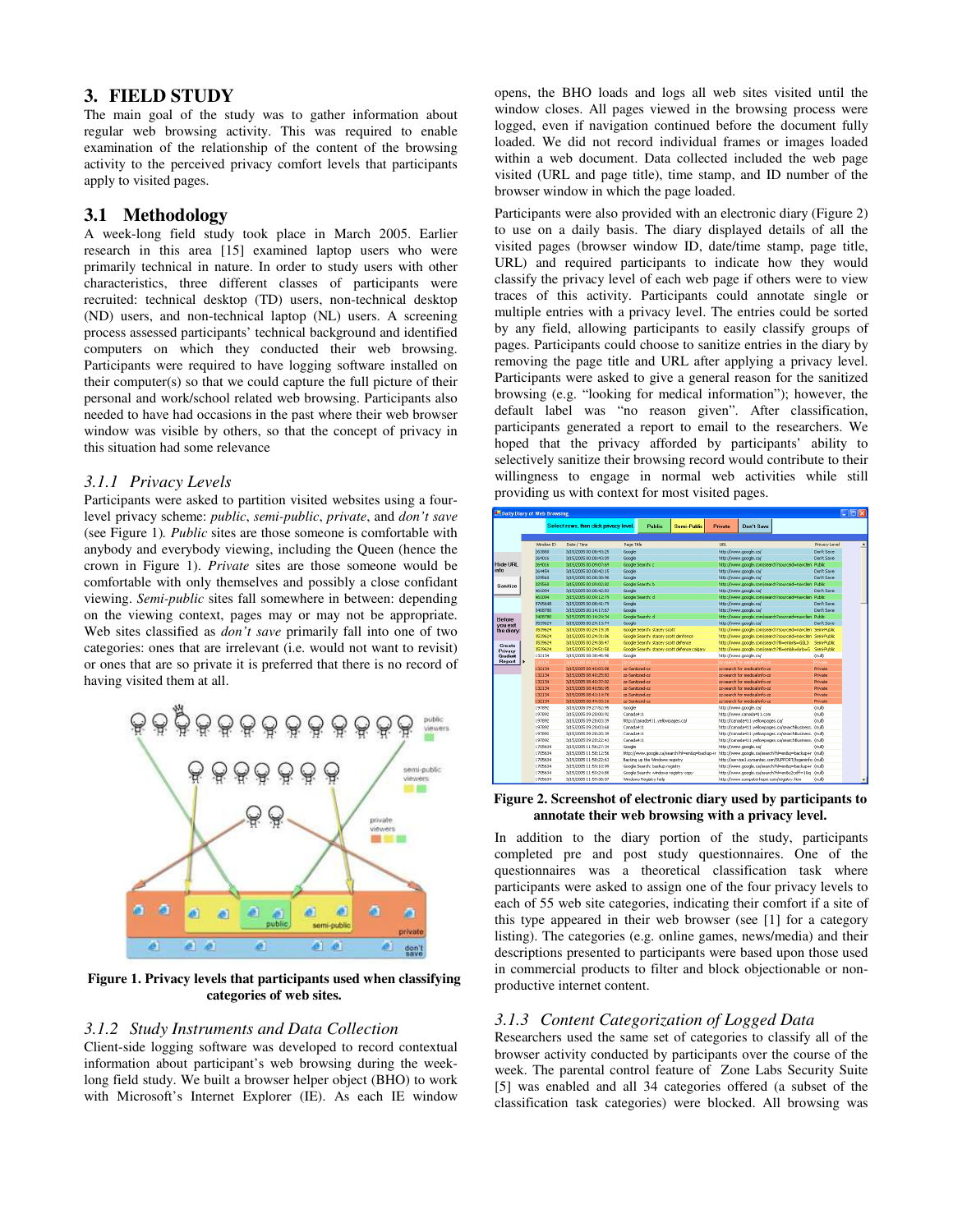#### **3. FIELD STUDY**

The main goal of the study was to gather information about regular web browsing activity. This was required to enable examination of the relationship of the content of the browsing activity to the perceived privacy comfort levels that participants apply to visited pages.

## **3.1 Methodology**

A week-long field study took place in March 2005. Earlier research in this area [15] examined laptop users who were primarily technical in nature. In order to study users with other characteristics, three different classes of participants were recruited: technical desktop (TD) users, non-technical desktop (ND) users, and non-technical laptop (NL) users. A screening process assessed participants' technical background and identified computers on which they conducted their web browsing. Participants were required to have logging software installed on their computer(s) so that we could capture the full picture of their personal and work/school related web browsing. Participants also needed to have had occasions in the past where their web browser window was visible by others, so that the concept of privacy in this situation had some relevance

#### *3.1.1 Privacy Levels*

Participants were asked to partition visited websites using a fourlevel privacy scheme: *public*, *semi-public*, *private*, and *don't save* (see Figure 1)*. Public* sites are those someone is comfortable with anybody and everybody viewing, including the Queen (hence the crown in Figure 1). *Private* sites are those someone would be comfortable with only themselves and possibly a close confidant viewing. *Semi-public* sites fall somewhere in between: depending on the viewing context, pages may or may not be appropriate. Web sites classified as *don't save* primarily fall into one of two categories: ones that are irrelevant (i.e. would not want to revisit) or ones that are so private it is preferred that there is no record of having visited them at all.



**Figure 1. Privacy levels that participants used when classifying categories of web sites.**

#### *3.1.2 Study Instruments and Data Collection*

Client-side logging software was developed to record contextual information about participant's web browsing during the weeklong field study. We built a browser helper object (BHO) to work with Microsoft's Internet Explorer (IE). As each IE window opens, the BHO loads and logs all web sites visited until the window closes. All pages viewed in the browsing process were logged, even if navigation continued before the document fully loaded. We did not record individual frames or images loaded within a web document. Data collected included the web page visited (URL and page title), time stamp, and ID number of the browser window in which the page loaded.

Participants were also provided with an electronic diary (Figure 2) to use on a daily basis. The diary displayed details of all the visited pages (browser window ID, date/time stamp, page title, URL) and required participants to indicate how they would classify the privacy level of each web page if others were to view traces of this activity. Participants could annotate single or multiple entries with a privacy level. The entries could be sorted by any field, allowing participants to easily classify groups of pages. Participants could choose to sanitize entries in the diary by removing the page title and URL after applying a privacy level. Participants were asked to give a general reason for the sanitized browsing (e.g. "looking for medical information"); however, the default label was "no reason given". After classification, participants generated a report to email to the researchers. We hoped that the privacy afforded by participants' ability to selectively sanitize their browsing record would contribute to their willingness to engage in normal web activities while still providing us with context for most visited pages.



**Figure 2. Screenshot of electronic diary used by participants to annotate their web browsing with a privacy level.**

In addition to the diary portion of the study, participants completed pre and post study questionnaires. One of the questionnaires was a theoretical classification task where participants were asked to assign one of the four privacy levels to each of 55 web site categories, indicating their comfort if a site of this type appeared in their web browser (see [1] for a category listing). The categories (e.g. online games, news/media) and their descriptions presented to participants were based upon those used in commercial products to filter and block objectionable or nonproductive internet content.

#### *3.1.3 Content Categorization of Logged Data*

Researchers used the same set of categories to classify all of the browser activity conducted by participants over the course of the week. The parental control feature of Zone Labs Security Suite [5] was enabled and all 34 categories offered (a subset of the classification task categories) were blocked. All browsing was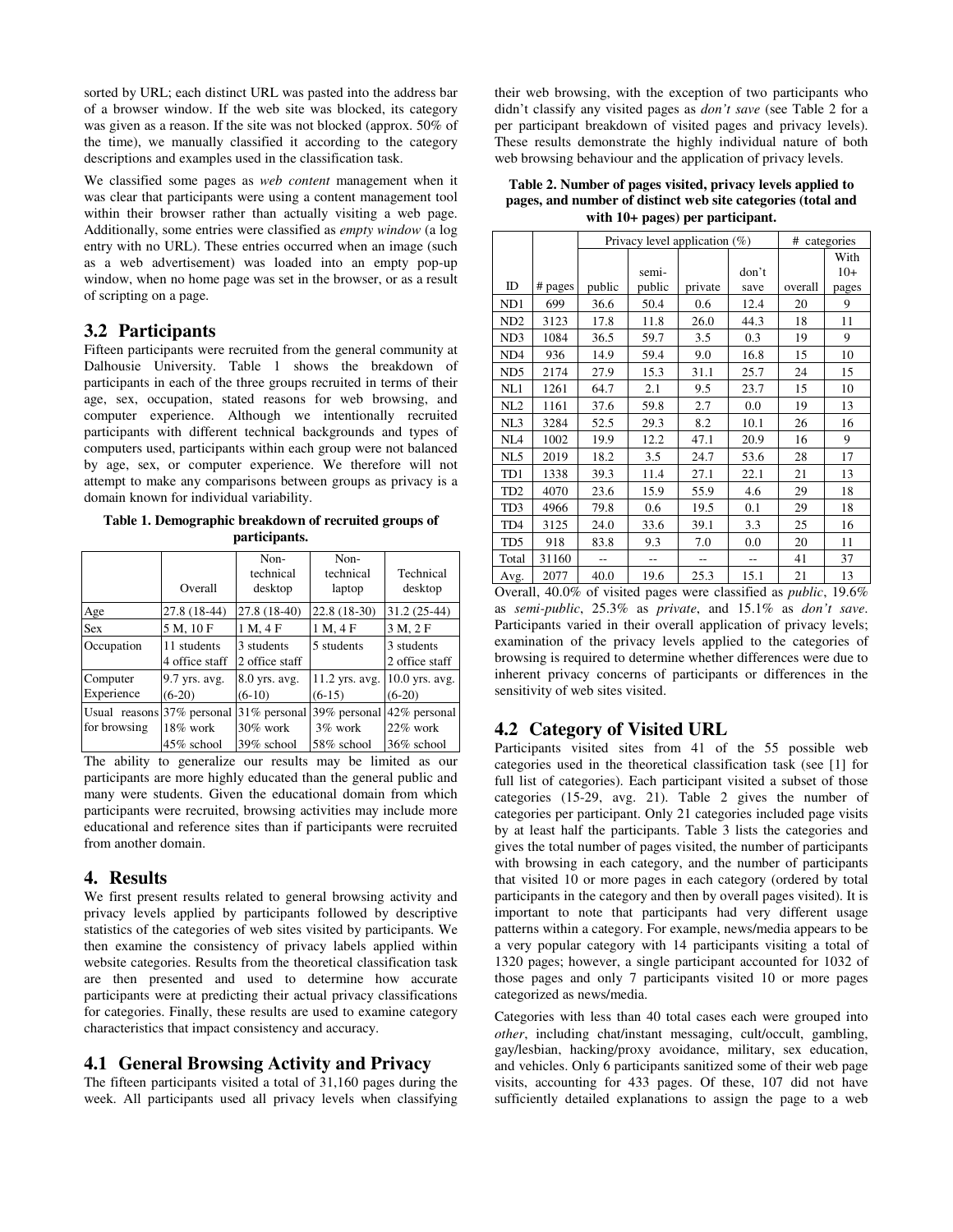sorted by URL; each distinct URL was pasted into the address bar of a browser window. If the web site was blocked, its category was given as a reason. If the site was not blocked (approx. 50% of the time), we manually classified it according to the category descriptions and examples used in the classification task.

We classified some pages as *web content* management when it was clear that participants were using a content management tool within their browser rather than actually visiting a web page. Additionally, some entries were classified as *empty window* (a log entry with no URL). These entries occurred when an image (such as a web advertisement) was loaded into an empty pop-up window, when no home page was set in the browser, or as a result of scripting on a page.

## **3.2 Participants**

Fifteen participants were recruited from the general community at Dalhousie University. Table 1 shows the breakdown of participants in each of the three groups recruited in terms of their age, sex, occupation, stated reasons for web browsing, and computer experience. Although we intentionally recruited participants with different technical backgrounds and types of computers used, participants within each group were not balanced by age, sex, or computer experience. We therefore will not attempt to make any comparisons between groups as privacy is a domain known for individual variability.

**Table 1. Demographic breakdown of recruited groups of participants.**

|                                            | Overall                       | Non-<br>technical<br>desktop | Non-<br>technical<br>laptop                           | Technical<br>desktop                      |
|--------------------------------------------|-------------------------------|------------------------------|-------------------------------------------------------|-------------------------------------------|
| Age                                        | 27.8 (18-44)                  | 27.8 (18-40)                 | 22.8 (18-30)                                          | $31.2(25-44)$                             |
| <b>Sex</b>                                 | 5 M, 10 F                     | 1 M, 4 F                     | 1 M, 4 F                                              | 3 M, 2 F                                  |
| Occupation                                 | 11 students<br>4 office staff | 3 students<br>2 office staff | 5 students                                            | 3 students<br>2 office staff              |
| Computer<br>Experience                     | 9.7 yrs. avg.<br>$(6-20)$     | 8.0 yrs. avg.<br>$(6-10)$    | 11.2 yrs. avg.<br>$(6-15)$                            | $10.0$ yrs. avg.<br>$(6-20)$              |
| Usual reasons 37% personal<br>for browsing | $18\%$ work<br>45% school     | $30\%$ work<br>39% school    | 31% personal 39% personal<br>$3\%$ work<br>58% school | 42% personal<br>$22\%$ work<br>36% school |

The ability to generalize our results may be limited as our participants are more highly educated than the general public and many were students. Given the educational domain from which participants were recruited, browsing activities may include more educational and reference sites than if participants were recruited from another domain.

# **4. Results**

We first present results related to general browsing activity and privacy levels applied by participants followed by descriptive statistics of the categories of web sites visited by participants. We then examine the consistency of privacy labels applied within website categories. Results from the theoretical classification task are then presented and used to determine how accurate participants were at predicting their actual privacy classifications for categories. Finally, these results are used to examine category characteristics that impact consistency and accuracy.

# **4.1 General Browsing Activity and Privacy**

The fifteen participants visited a total of 31,160 pages during the week. All participants used all privacy levels when classifying their web browsing, with the exception of two participants who didn't classify any visited pages as *don't save* (see Table 2 for a per participant breakdown of visited pages and privacy levels). These results demonstrate the highly individual nature of both web browsing behaviour and the application of privacy levels.

**Table 2. Number of pages visited, privacy levels applied to pages, and number of distinct web site categories (total and with 10+ pages) per participant.**

|                 |         |        | Privacy level application $(\%)$ | # categories |       |         |       |
|-----------------|---------|--------|----------------------------------|--------------|-------|---------|-------|
|                 |         |        |                                  |              |       |         | With  |
|                 |         |        | semi-                            |              | don't |         | $10+$ |
| ID              | # pages | public | public                           | private      | save  | overall | pages |
| ND1             | 699     | 36.6   | 50.4                             | 0.6          | 12.4  | 20      | 9     |
| ND <sub>2</sub> | 3123    | 17.8   | 11.8                             | 26.0         | 44.3  | 18      | 11    |
| ND3             | 1084    | 36.5   | 59.7                             | 3.5          | 0.3   | 19      | 9     |
| ND <sub>4</sub> | 936     | 14.9   | 59.4                             | 9.0          | 16.8  | 15      | 10    |
| ND <sub>5</sub> | 2174    | 27.9   | 15.3                             | 31.1         | 25.7  | 24      | 15    |
| NL1             | 1261    | 64.7   | 2.1                              | 9.5          | 23.7  | 15      | 10    |
| NL <sub>2</sub> | 1161    | 37.6   | 59.8                             | 2.7          | 0.0   | 19      | 13    |
| NL3             | 3284    | 52.5   | 29.3                             | 8.2          | 10.1  | 26      | 16    |
| NL4             | 1002    | 19.9   | 12.2                             | 47.1         | 20.9  | 16      | 9     |
| NL5             | 2019    | 18.2   | 3.5                              | 24.7         | 53.6  | 28      | 17    |
| TD1             | 1338    | 39.3   | 11.4                             | 27.1         | 22.1  | 21      | 13    |
| TD <sub>2</sub> | 4070    | 23.6   | 15.9                             | 55.9         | 4.6   | 29      | 18    |
| TD <sub>3</sub> | 4966    | 79.8   | 0.6                              | 19.5         | 0.1   | 29      | 18    |
| TD <sub>4</sub> | 3125    | 24.0   | 33.6                             | 39.1         | 3.3   | 25      | 16    |
| TD <sub>5</sub> | 918     | 83.8   | 9.3                              | 7.0          | 0.0   | 20      | 11    |
| Total           | 31160   |        |                                  |              |       | 41      | 37    |
| Avg.            | 2077    | 40.0   | 19.6                             | 25.3         | 15.1  | 21      | 13    |

Overall, 40.0% of visited pages were classified as *public*, 19.6% as *semi-public*, 25.3% as *private*, and 15.1% as *don't save*. Participants varied in their overall application of privacy levels; examination of the privacy levels applied to the categories of browsing is required to determine whether differences were due to inherent privacy concerns of participants or differences in the sensitivity of web sites visited.

# **4.2 Category of Visited URL**

Participants visited sites from 41 of the 55 possible web categories used in the theoretical classification task (see [1] for full list of categories). Each participant visited a subset of those categories (15-29, avg. 21). Table 2 gives the number of categories per participant. Only 21 categories included page visits by at least half the participants. Table 3 lists the categories and gives the total number of pages visited, the number of participants with browsing in each category, and the number of participants that visited 10 or more pages in each category (ordered by total participants in the category and then by overall pages visited). It is important to note that participants had very different usage patterns within a category. For example, news/media appears to be a very popular category with 14 participants visiting a total of 1320 pages; however, a single participant accounted for 1032 of those pages and only 7 participants visited 10 or more pages categorized as news/media.

Categories with less than 40 total cases each were grouped into *other*, including chat/instant messaging, cult/occult, gambling, gay/lesbian, hacking/proxy avoidance, military, sex education, and vehicles. Only 6 participants sanitized some of their web page visits, accounting for 433 pages. Of these, 107 did not have sufficiently detailed explanations to assign the page to a web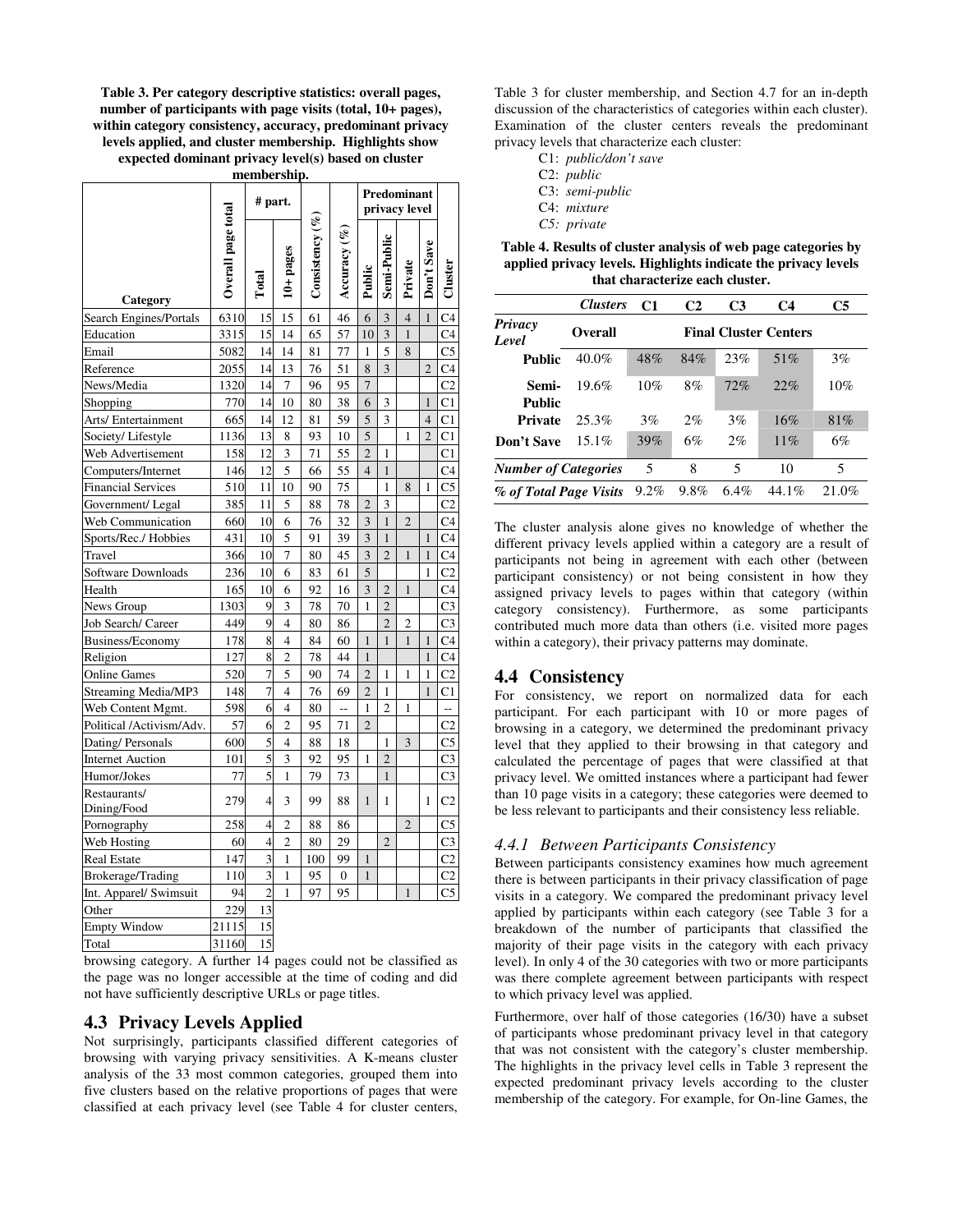**Table 3. Per category descriptive statistics: overall pages, number of participants with page visits (total, 10+ pages), within category consistency, accuracy, predominant privacy levels applied, and cluster membership. Highlights show expected dominant privacy level(s) based on cluster membership.**

|                             |                    | # part.                 |                         |                      |                | Predominant<br>privacy level |                |                |                |                          |
|-----------------------------|--------------------|-------------------------|-------------------------|----------------------|----------------|------------------------------|----------------|----------------|----------------|--------------------------|
| Category                    | Overall page total | Total                   | $10+$ pages             | Consistency ( $\%$ ) | Accuracy $(\%$ | Public                       | Semi-Public    | Private        | Don't Save     | Cluster                  |
| Search Engines/Portals      | 6310               | 15                      | 15                      | 61                   | 46             | 6                            | 3              | $\overline{4}$ | $\mathbf{1}$   | C <sub>4</sub>           |
| Education                   | 3315               | 15                      | 14                      | 65                   | 57             | 10                           | 3              | 1              |                | C <sub>4</sub>           |
| Email                       | 5082               | 14                      | 14                      | 81                   | 77             | $\mathbf{1}$                 | 5              | 8              |                | C <sub>5</sub>           |
| Reference                   | 2055               | 14                      | 13                      | 76                   | 51             | 8                            | 3              |                | $\overline{c}$ | C <sub>4</sub>           |
| News/Media                  | 1320               | 14                      | $\tau$                  | 96                   | 95             | $\overline{7}$               |                |                |                | C <sub>2</sub>           |
| Shopping                    | 770                | 14                      | 10                      | 80                   | 38             | 6                            | 3              |                | $\mathbf{1}$   | C1                       |
| Arts/ Entertainment         | 665                | 14                      | 12                      | 81                   | 59             | 5                            | 3              |                | $\overline{4}$ | C1                       |
| Society/Lifestyle           | 1136               | 13                      | 8                       | 93                   | 10             | 5                            |                | 1              | $\overline{2}$ | C1                       |
| Web Advertisement           | 158                | 12                      | $\overline{\mathbf{3}}$ | 71                   | 55             | $\overline{c}$               | $\mathbf{1}$   |                |                | C <sub>1</sub>           |
| Computers/Internet          | 146                | 12                      | 5                       | 66                   | 55             | $\overline{4}$               | $\mathbf{1}$   |                |                | C <sub>4</sub>           |
| <b>Financial Services</b>   | 510                | 11                      | 10                      | 90                   | 75             |                              | 1              | 8              | 1              | C <sub>5</sub>           |
| Government/Legal            | 385                | 11                      | 5                       | 88                   | 78             | $\overline{2}$               | 3              |                |                | C <sub>2</sub>           |
| Web Communication           | 660                | 10                      | 6                       | 76                   | 32             | 3                            | $\mathbf{1}$   | $\overline{2}$ |                | C <sub>4</sub>           |
| Sports/Rec./ Hobbies        | 431                | 10                      | 5                       | 91                   | 39             | 3                            | $\mathbf{1}$   |                | $\mathbf{1}$   | C <sub>4</sub>           |
| Travel                      | 366                | 10                      | 7                       | 80                   | 45             | 3                            | $\overline{2}$ | $\mathbf{1}$   | $\mathbf{1}$   | C <sub>4</sub>           |
| Software Downloads          | 236                | 10                      | 6                       | 83                   | 61             | 5                            |                |                | 1              | C <sub>2</sub>           |
| Health                      | 165                | 10                      | 6                       | 92                   | 16             | 3                            | $\overline{2}$ | $\mathbf{1}$   |                | C <sub>4</sub>           |
| News Group                  | 1303               | 9                       | $\overline{\mathbf{3}}$ | 78                   | 70             | $\mathbf{1}$                 | $\overline{2}$ |                |                | C <sub>3</sub>           |
| Job Search/ Career          | 449                | 9                       | $\overline{4}$          | 80                   | 86             |                              | $\overline{c}$ | $\overline{c}$ |                | C <sub>3</sub>           |
| <b>Business/Economy</b>     | 178                | 8                       | $\overline{4}$          | 84                   | 60             | $\mathbf{1}$                 | $\mathbf{1}$   | $\mathbf{1}$   | $\mathbf{1}$   | C <sub>4</sub>           |
| Religion                    | 127                | 8                       | $\overline{c}$          | 78                   | 44             | $\mathbf{1}$                 |                |                | $\mathbf{1}$   | C <sub>4</sub>           |
| <b>Online Games</b>         | 520                | 7                       | 5                       | 90                   | 74             | $\overline{2}$               | $\mathbf{1}$   | 1              | 1              | C <sub>2</sub>           |
| <b>Streaming Media/MP3</b>  | 148                | $\overline{7}$          | $\overline{4}$          | 76                   | 69             | $\overline{2}$               | $\mathbf{1}$   |                | $\mathbf{1}$   | C <sub>1</sub>           |
| Web Content Mgmt.           | 598                | $\overline{6}$          | $\overline{\mathbf{4}}$ | 80                   | $\overline{a}$ | 1                            | $\overline{c}$ | 1              |                | $\overline{\phantom{a}}$ |
| Political /Activism/Adv.    | 57                 | $\mathbf{6}$            | $\overline{2}$          | 95                   | 71             | $\overline{2}$               |                |                |                | C <sub>2</sub>           |
| Dating/Personals            | 600                | 5                       | $\overline{\mathbf{4}}$ | 88                   | 18             |                              | $\mathbf{1}$   | 3              |                | C <sub>5</sub>           |
| <b>Internet Auction</b>     | 101                | 5                       | 3                       | 92                   | 95             | 1                            | $\overline{c}$ |                |                | C <sub>3</sub>           |
| Humor/Jokes                 | 77                 | $\overline{5}$          | $\mathbf{1}$            | 79                   | 73             |                              | $\mathbf{1}$   |                |                | C <sub>3</sub>           |
| Restaurants/<br>Dining/Food | 279                | $\overline{4}$          | 3                       | 99                   | 88             | $\mathbf{1}$                 | 1              |                | 1              | C <sub>2</sub>           |
| Pornography                 | 258                | $\overline{4}$          | $\overline{2}$          | 88                   | 86             |                              |                | $\overline{c}$ |                | C <sub>5</sub>           |
| Web Hosting                 | 60                 | $\overline{\mathbf{4}}$ | $\overline{c}$          | 80                   | 29             |                              | $\overline{c}$ |                |                | C <sub>3</sub>           |
| <b>Real Estate</b>          | 147                | 3                       | $\mathbf{1}$            | 100                  | 99             | $\mathbf{1}$                 |                |                |                | C <sub>2</sub>           |
| Brokerage/Trading           | 110                | $\overline{\mathbf{3}}$ | $\mathbf{1}$            | 95                   | $\theta$       | $\mathbf{1}$                 |                |                |                | $\overline{C2}$          |
| Int. Apparel/ Swimsuit      | 94                 | $\overline{c}$          | $\mathbf{1}$            | 97                   | 95             |                              |                | $\mathbf{1}$   |                | $\overline{\text{C5}}$   |
| Other                       | 229                | 13                      |                         |                      |                |                              |                |                |                |                          |
| <b>Empty Window</b>         | 21115              | 15                      |                         |                      |                |                              |                |                |                |                          |
| Total                       | 31160              | 15                      |                         |                      |                |                              |                |                |                |                          |
|                             |                    |                         |                         |                      |                |                              |                |                |                |                          |

browsing category. A further 14 pages could not be classified as the page was no longer accessible at the time of coding and did not have sufficiently descriptive URLs or page titles.

## **4.3 Privacy Levels Applied**

Not surprisingly, participants classified different categories of browsing with varying privacy sensitivities. A K-means cluster analysis of the 33 most common categories, grouped them into five clusters based on the relative proportions of pages that were classified at each privacy level (see Table 4 for cluster centers, Table 3 for cluster membership, and Section 4.7 for an in-depth discussion of the characteristics of categories within each cluster). Examination of the cluster centers reveals the predominant privacy levels that characterize each cluster:

> C1: *public/don't save* C2: *public* C3: *semi-public* C4: *mixture C5: private*

**Table 4. Results of cluster analysis of web page categories by applied privacy levels. Highlights indicate the privacy levels that characterize each cluster.**

|                             | <b>Clusters</b> | C <sub>1</sub>               | C <sub>2</sub> | C <sub>3</sub> | C4    | C5    |  |
|-----------------------------|-----------------|------------------------------|----------------|----------------|-------|-------|--|
| Privacy<br>Level            | <b>Overall</b>  | <b>Final Cluster Centers</b> |                |                |       |       |  |
| <b>Public</b>               | $40.0\%$        | 48%                          | 84%            | 23%            | 51%   | 3%    |  |
| Semi-<br><b>Public</b>      | 19.6%           | 10%                          | 8%             | 72%            | 22%   | 10%   |  |
| <b>Private</b>              | 25.3%           | 3%                           | $2\%$          | 3%             | 16%   | 81%   |  |
| Don't Save                  | 15.1%           | 39%                          | 6%             | 2%             | 11%   | 6%    |  |
| <b>Number of Categories</b> | 5               | 8                            | 5              | 10             | 5     |       |  |
| % of Total Page Visits      |                 | 9.2%                         | 9.8%           | $6.4\%$        | 44.1% | 21.0% |  |

The cluster analysis alone gives no knowledge of whether the different privacy levels applied within a category are a result of participants not being in agreement with each other (between participant consistency) or not being consistent in how they assigned privacy levels to pages within that category (within category consistency). Furthermore, as some participants contributed much more data than others (i.e. visited more pages within a category), their privacy patterns may dominate.

# **4.4 Consistency**

For consistency, we report on normalized data for each participant. For each participant with 10 or more pages of browsing in a category, we determined the predominant privacy level that they applied to their browsing in that category and calculated the percentage of pages that were classified at that privacy level. We omitted instances where a participant had fewer than 10 page visits in a category; these categories were deemed to be less relevant to participants and their consistency less reliable.

## *4.4.1 Between Participants Consistency*

Between participants consistency examines how much agreement there is between participants in their privacy classification of page visits in a category. We compared the predominant privacy level applied by participants within each category (see Table 3 for a breakdown of the number of participants that classified the majority of their page visits in the category with each privacy level). In only 4 of the 30 categories with two or more participants was there complete agreement between participants with respect to which privacy level was applied.

Furthermore, over half of those categories (16/30) have a subset of participants whose predominant privacy level in that category that was not consistent with the category's cluster membership. The highlights in the privacy level cells in Table 3 represent the expected predominant privacy levels according to the cluster membership of the category. For example, for On-line Games, the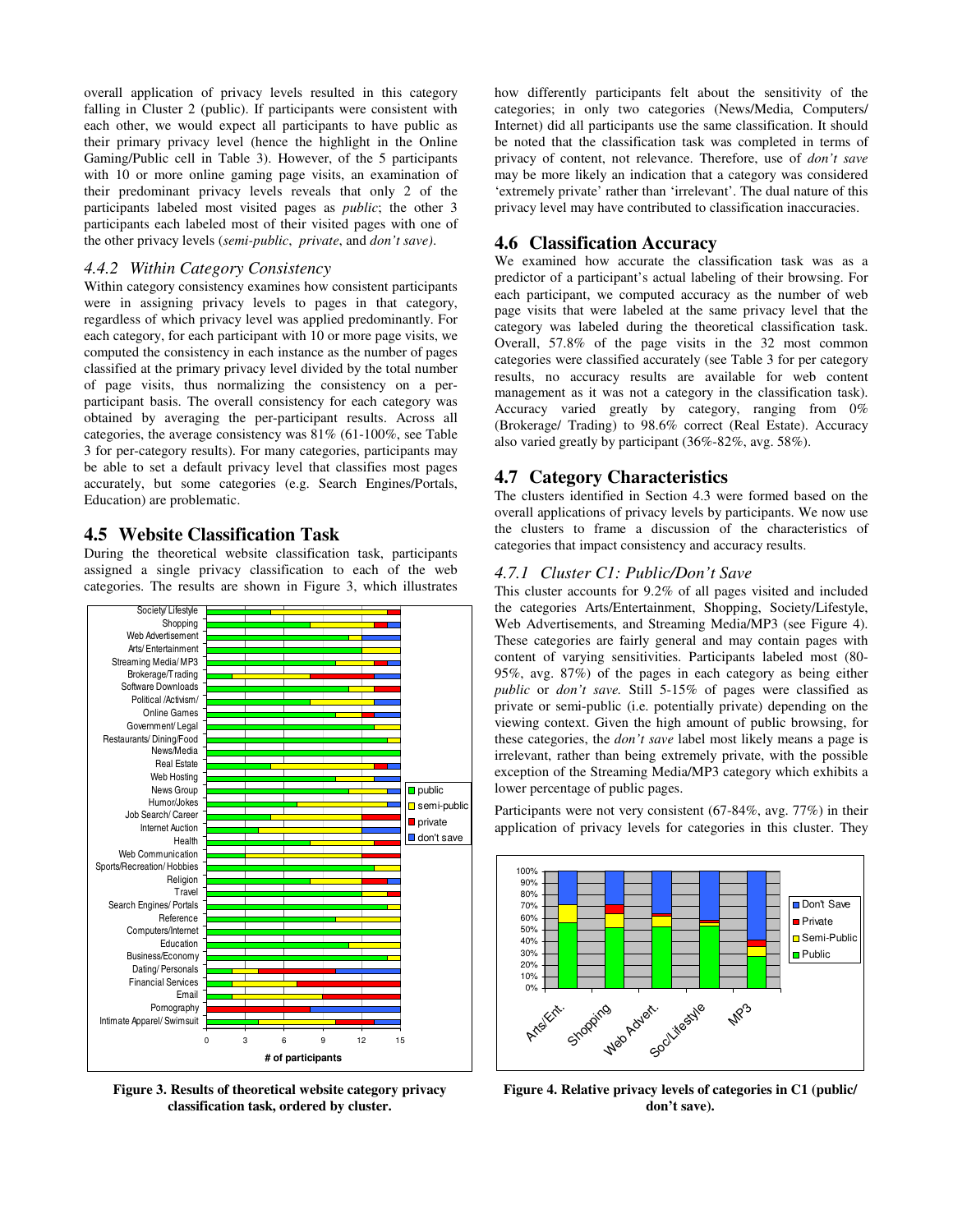overall application of privacy levels resulted in this category falling in Cluster 2 (public). If participants were consistent with each other, we would expect all participants to have public as their primary privacy level (hence the highlight in the Online Gaming/Public cell in Table 3). However, of the 5 participants with 10 or more online gaming page visits, an examination of their predominant privacy levels reveals that only 2 of the participants labeled most visited pages as *public*; the other 3 participants each labeled most of their visited pages with one of the other privacy levels (*semi-public*, *private*, and *don't save)*.

#### *4.4.2 Within Category Consistency*

Within category consistency examines how consistent participants were in assigning privacy levels to pages in that category, regardless of which privacy level was applied predominantly. For each category, for each participant with 10 or more page visits, we computed the consistency in each instance as the number of pages classified at the primary privacy level divided by the total number of page visits, thus normalizing the consistency on a perparticipant basis. The overall consistency for each category was obtained by averaging the per-participant results. Across all categories, the average consistency was 81% (61-100%, see Table 3 for per-category results). For many categories, participants may be able to set a default privacy level that classifies most pages accurately, but some categories (e.g. Search Engines/Portals, Education) are problematic.

#### **4.5 Website Classification Task**

During the theoretical website classification task, participants assigned a single privacy classification to each of the web categories. The results are shown in Figure 3, which illustrates



**Figure 3. Results of theoretical website category privacy classification task, ordered by cluster.**

how differently participants felt about the sensitivity of the categories; in only two categories (News/Media, Computers/ Internet) did all participants use the same classification. It should be noted that the classification task was completed in terms of privacy of content, not relevance. Therefore, use of *don't save* may be more likely an indication that a category was considered 'extremely private' rather than 'irrelevant'. The dual nature of this privacy level may have contributed to classification inaccuracies.

#### **4.6 Classification Accuracy**

We examined how accurate the classification task was as a predictor of a participant's actual labeling of their browsing. For each participant, we computed accuracy as the number of web page visits that were labeled at the same privacy level that the category was labeled during the theoretical classification task. Overall, 57.8% of the page visits in the 32 most common categories were classified accurately (see Table 3 for per category results, no accuracy results are available for web content management as it was not a category in the classification task). Accuracy varied greatly by category, ranging from 0% (Brokerage/ Trading) to 98.6% correct (Real Estate). Accuracy also varied greatly by participant (36%-82%, avg. 58%).

#### **4.7 Category Characteristics**

The clusters identified in Section 4.3 were formed based on the overall applications of privacy levels by participants. We now use the clusters to frame a discussion of the characteristics of categories that impact consistency and accuracy results.

#### *4.7.1 Cluster C1: Public/Don't Save*

This cluster accounts for 9.2% of all pages visited and included the categories Arts/Entertainment, Shopping, Society/Lifestyle, Web Advertisements, and Streaming Media/MP3 (see Figure 4). These categories are fairly general and may contain pages with content of varying sensitivities. Participants labeled most (80- 95%, avg. 87%) of the pages in each category as being either *public* or *don't save.* Still 5-15% of pages were classified as private or semi-public (i.e. potentially private) depending on the viewing context. Given the high amount of public browsing, for these categories, the *don't save* label most likely means a page is irrelevant, rather than being extremely private, with the possible exception of the Streaming Media/MP3 category which exhibits a lower percentage of public pages.

Participants were not very consistent (67-84%, avg. 77%) in their application of privacy levels for categories in this cluster. They



**Figure 4. Relative privacy levels of categories in C1 (public/ don't save).**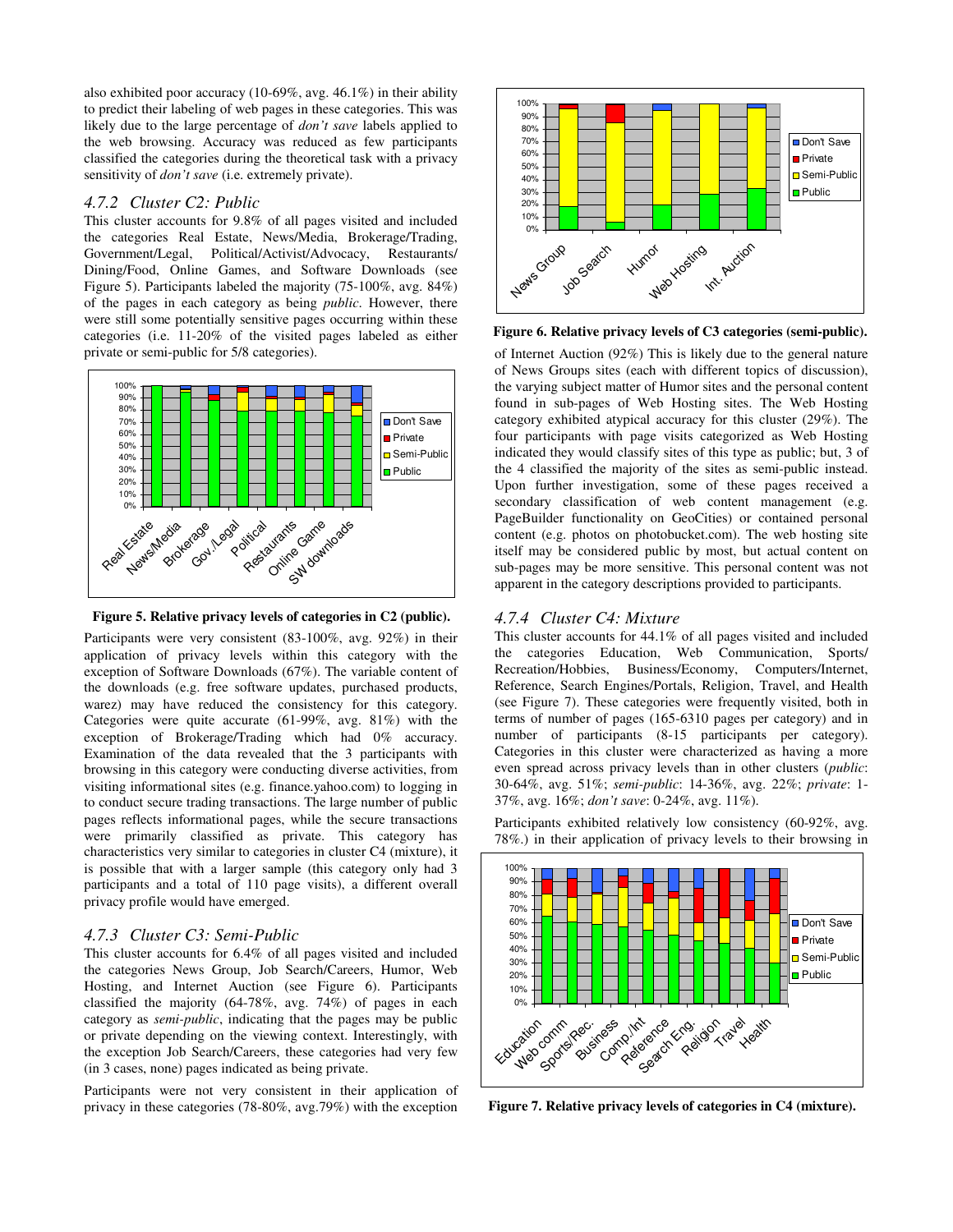also exhibited poor accuracy (10-69%, avg. 46.1%) in their ability to predict their labeling of web pages in these categories. This was likely due to the large percentage of *don't save* labels applied to the web browsing. Accuracy was reduced as few participants classified the categories during the theoretical task with a privacy sensitivity of *don't save* (i.e. extremely private).

#### *4.7.2 Cluster C2: Public*

This cluster accounts for 9.8% of all pages visited and included the categories Real Estate, News/Media, Brokerage/Trading, Government/Legal, Political/Activist/Advocacy, Restaurants/ Dining/Food, Online Games, and Software Downloads (see Figure 5). Participants labeled the majority (75-100%, avg. 84%) of the pages in each category as being *public*. However, there were still some potentially sensitive pages occurring within these categories (i.e. 11-20% of the visited pages labeled as either private or semi-public for 5/8 categories).



**Figure 5. Relative privacy levels of categories in C2 (public).**

Participants were very consistent (83-100%, avg. 92%) in their application of privacy levels within this category with the exception of Software Downloads (67%). The variable content of the downloads (e.g. free software updates, purchased products, warez) may have reduced the consistency for this category. Categories were quite accurate (61-99%, avg. 81%) with the exception of Brokerage/Trading which had 0% accuracy. Examination of the data revealed that the 3 participants with browsing in this category were conducting diverse activities, from visiting informational sites (e.g. finance.yahoo.com) to logging in to conduct secure trading transactions. The large number of public pages reflects informational pages, while the secure transactions were primarily classified as private. This category has characteristics very similar to categories in cluster C4 (mixture), it is possible that with a larger sample (this category only had 3 participants and a total of 110 page visits), a different overall privacy profile would have emerged.

#### *4.7.3 Cluster C3: Semi-Public*

This cluster accounts for 6.4% of all pages visited and included the categories News Group, Job Search/Careers, Humor, Web Hosting, and Internet Auction (see Figure 6). Participants classified the majority (64-78%, avg. 74%) of pages in each category as *semi-public*, indicating that the pages may be public or private depending on the viewing context. Interestingly, with the exception Job Search/Careers, these categories had very few (in 3 cases, none) pages indicated as being private.

Participants were not very consistent in their application of privacy in these categories (78-80%, avg.79%) with the exception



**Figure 6. Relative privacy levels of C3 categories (semi-public).**

of Internet Auction (92%) This is likely due to the general nature of News Groups sites (each with different topics of discussion), the varying subject matter of Humor sites and the personal content found in sub-pages of Web Hosting sites. The Web Hosting category exhibited atypical accuracy for this cluster (29%). The four participants with page visits categorized as Web Hosting indicated they would classify sites of this type as public; but, 3 of the 4 classified the majority of the sites as semi-public instead. Upon further investigation, some of these pages received a secondary classification of web content management (e.g. PageBuilder functionality on GeoCities) or contained personal content (e.g. photos on photobucket.com). The web hosting site itself may be considered public by most, but actual content on sub-pages may be more sensitive. This personal content was not apparent in the category descriptions provided to participants.

#### *4.7.4 Cluster C4: Mixture*

This cluster accounts for 44.1% of all pages visited and included the categories Education, Web Communication, Sports/ Recreation/Hobbies, Business/Economy, Computers/Internet, Reference, Search Engines/Portals, Religion, Travel, and Health (see Figure 7). These categories were frequently visited, both in terms of number of pages (165-6310 pages per category) and in number of participants (8-15 participants per category). Categories in this cluster were characterized as having a more even spread across privacy levels than in other clusters (*public*: 30-64%, avg. 51%; *semi-public*: 14-36%, avg. 22%; *private*: 1- 37%, avg. 16%; *don't save*: 0-24%, avg. 11%).

Participants exhibited relatively low consistency (60-92%, avg. 78%.) in their application of privacy levels to their browsing in



**Figure 7. Relative privacy levels of categories in C4 (mixture).**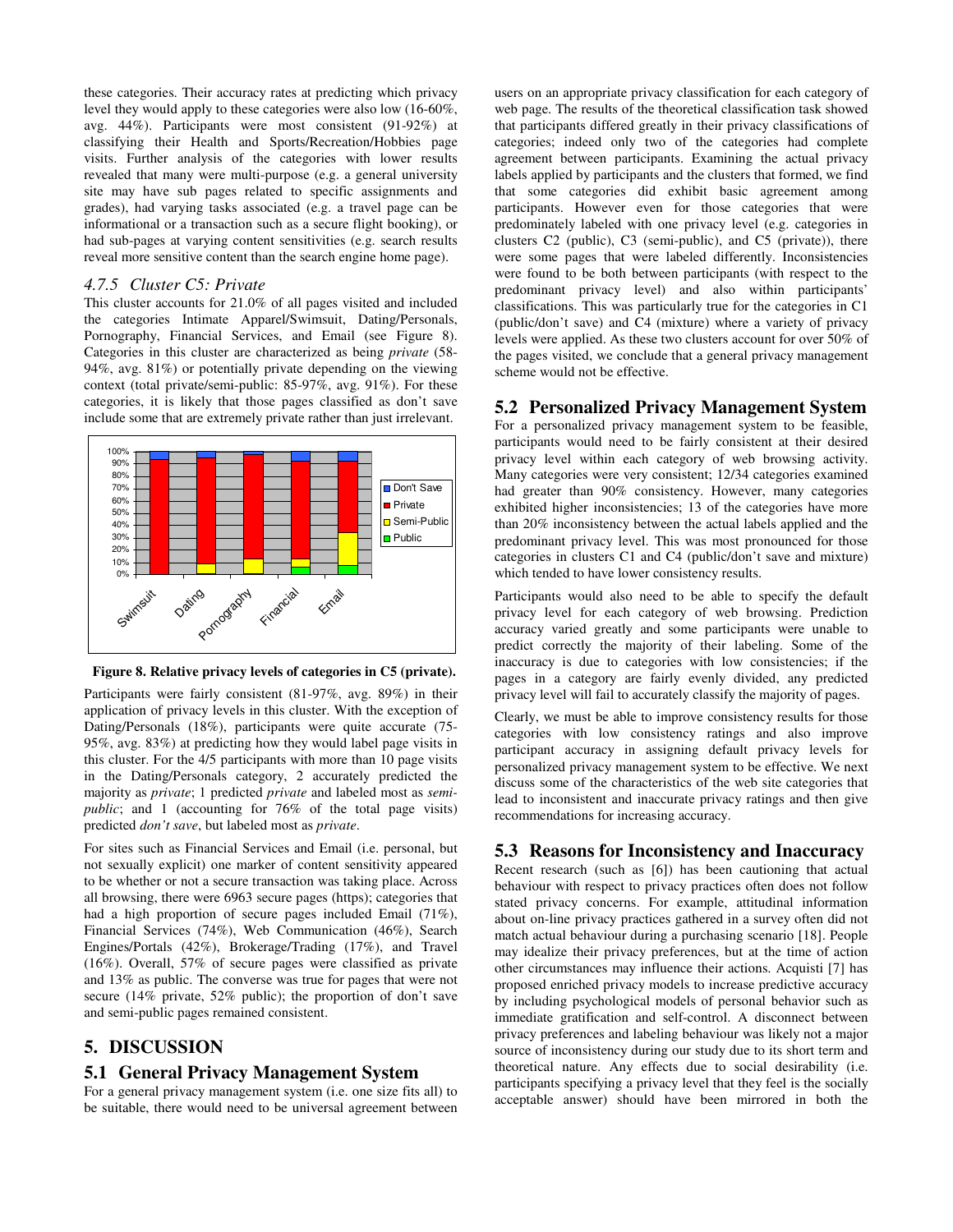these categories. Their accuracy rates at predicting which privacy level they would apply to these categories were also low (16-60%, avg. 44%). Participants were most consistent (91-92%) at classifying their Health and Sports/Recreation/Hobbies page visits. Further analysis of the categories with lower results revealed that many were multi-purpose (e.g. a general university site may have sub pages related to specific assignments and grades), had varying tasks associated (e.g. a travel page can be informational or a transaction such as a secure flight booking), or had sub-pages at varying content sensitivities (e.g. search results reveal more sensitive content than the search engine home page).

#### *4.7.5 Cluster C5: Private*

This cluster accounts for 21.0% of all pages visited and included the categories Intimate Apparel/Swimsuit, Dating/Personals, Pornography, Financial Services, and Email (see Figure 8). Categories in this cluster are characterized as being *private* (58- 94%, avg. 81%) or potentially private depending on the viewing context (total private/semi-public: 85-97%, avg. 91%). For these categories, it is likely that those pages classified as don't save include some that are extremely private rather than just irrelevant.



**Figure 8. Relative privacy levels of categories in C5 (private).**

Participants were fairly consistent (81-97%, avg. 89%) in their application of privacy levels in this cluster. With the exception of Dating/Personals (18%), participants were quite accurate (75- 95%, avg. 83%) at predicting how they would label page visits in this cluster. For the 4/5 participants with more than 10 page visits in the Dating/Personals category, 2 accurately predicted the majority as *private*; 1 predicted *private* and labeled most as *semipublic*; and 1 (accounting for 76% of the total page visits) predicted *don't save*, but labeled most as *private*.

For sites such as Financial Services and Email (i.e. personal, but not sexually explicit) one marker of content sensitivity appeared to be whether or not a secure transaction was taking place. Across all browsing, there were 6963 secure pages (https); categories that had a high proportion of secure pages included Email (71%), Financial Services (74%), Web Communication (46%), Search Engines/Portals (42%), Brokerage/Trading (17%), and Travel (16%). Overall, 57% of secure pages were classified as private and 13% as public. The converse was true for pages that were not secure (14% private, 52% public); the proportion of don't save and semi-public pages remained consistent.

# **5. DISCUSSION**

## **5.1 General Privacy Management System**

For a general privacy management system (i.e. one size fits all) to be suitable, there would need to be universal agreement between

users on an appropriate privacy classification for each category of web page. The results of the theoretical classification task showed that participants differed greatly in their privacy classifications of categories; indeed only two of the categories had complete agreement between participants. Examining the actual privacy labels applied by participants and the clusters that formed, we find that some categories did exhibit basic agreement among participants. However even for those categories that were predominately labeled with one privacy level (e.g. categories in clusters C2 (public), C3 (semi-public), and C5 (private)), there were some pages that were labeled differently. Inconsistencies were found to be both between participants (with respect to the predominant privacy level) and also within participants' classifications. This was particularly true for the categories in C1 (public/don't save) and C4 (mixture) where a variety of privacy levels were applied. As these two clusters account for over 50% of the pages visited, we conclude that a general privacy management scheme would not be effective.

## **5.2 Personalized Privacy Management System**

For a personalized privacy management system to be feasible, participants would need to be fairly consistent at their desired privacy level within each category of web browsing activity. Many categories were very consistent; 12/34 categories examined had greater than 90% consistency. However, many categories exhibited higher inconsistencies; 13 of the categories have more than 20% inconsistency between the actual labels applied and the predominant privacy level. This was most pronounced for those categories in clusters C1 and C4 (public/don't save and mixture) which tended to have lower consistency results.

Participants would also need to be able to specify the default privacy level for each category of web browsing. Prediction accuracy varied greatly and some participants were unable to predict correctly the majority of their labeling. Some of the inaccuracy is due to categories with low consistencies; if the pages in a category are fairly evenly divided, any predicted privacy level will fail to accurately classify the majority of pages.

Clearly, we must be able to improve consistency results for those categories with low consistency ratings and also improve participant accuracy in assigning default privacy levels for personalized privacy management system to be effective. We next discuss some of the characteristics of the web site categories that lead to inconsistent and inaccurate privacy ratings and then give recommendations for increasing accuracy.

# **5.3 Reasons for Inconsistency and Inaccuracy**

Recent research (such as [6]) has been cautioning that actual behaviour with respect to privacy practices often does not follow stated privacy concerns. For example, attitudinal information about on-line privacy practices gathered in a survey often did not match actual behaviour during a purchasing scenario [18]. People may idealize their privacy preferences, but at the time of action other circumstances may influence their actions. Acquisti [7] has proposed enriched privacy models to increase predictive accuracy by including psychological models of personal behavior such as immediate gratification and self-control. A disconnect between privacy preferences and labeling behaviour was likely not a major source of inconsistency during our study due to its short term and theoretical nature. Any effects due to social desirability (i.e. participants specifying a privacy level that they feel is the socially acceptable answer) should have been mirrored in both the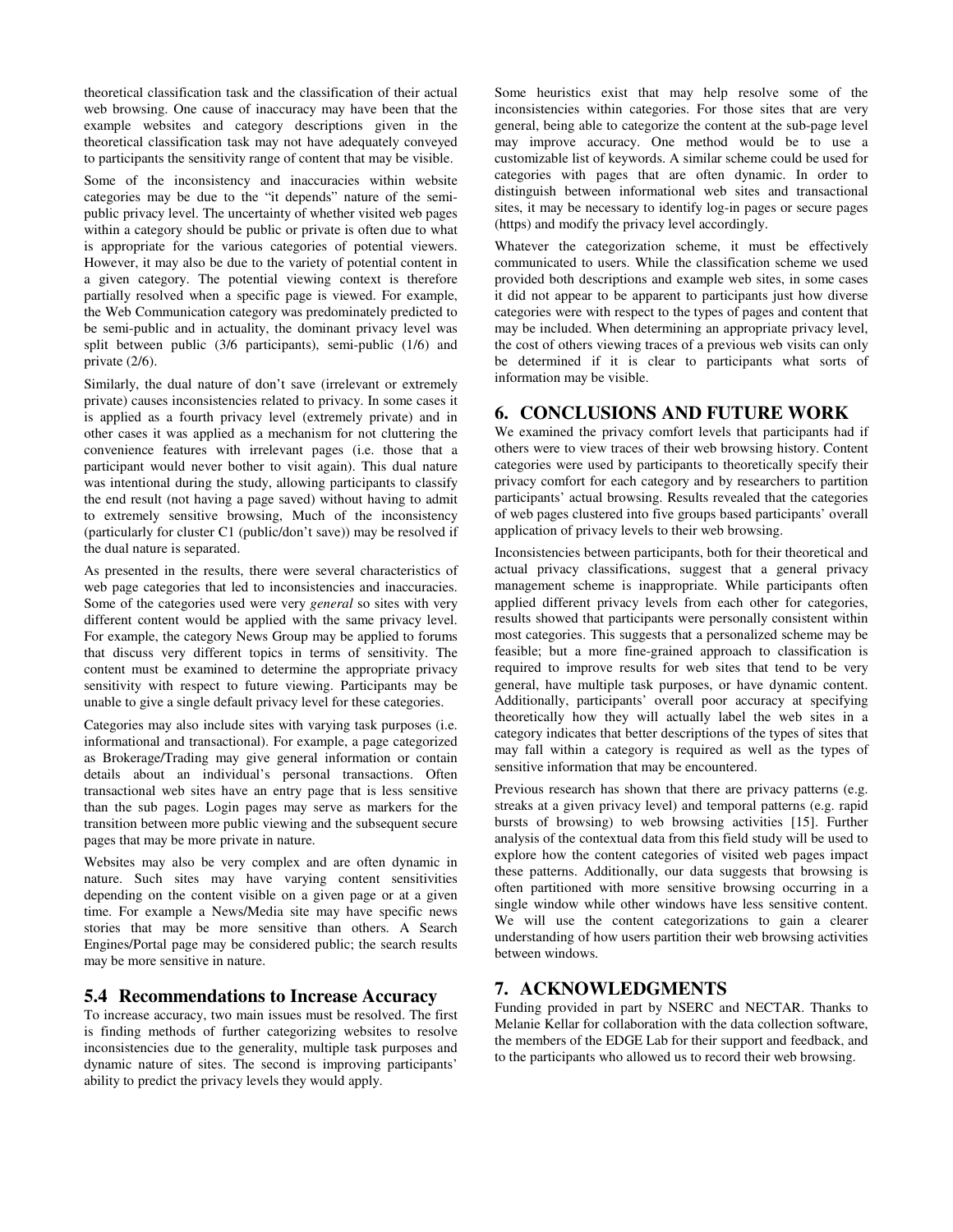theoretical classification task and the classification of their actual web browsing. One cause of inaccuracy may have been that the example websites and category descriptions given in the theoretical classification task may not have adequately conveyed to participants the sensitivity range of content that may be visible.

Some of the inconsistency and inaccuracies within website categories may be due to the "it depends" nature of the semipublic privacy level. The uncertainty of whether visited web pages within a category should be public or private is often due to what is appropriate for the various categories of potential viewers. However, it may also be due to the variety of potential content in a given category. The potential viewing context is therefore partially resolved when a specific page is viewed. For example, the Web Communication category was predominately predicted to be semi-public and in actuality, the dominant privacy level was split between public (3/6 participants), semi-public (1/6) and private (2/6).

Similarly, the dual nature of don't save (irrelevant or extremely private) causes inconsistencies related to privacy. In some cases it is applied as a fourth privacy level (extremely private) and in other cases it was applied as a mechanism for not cluttering the convenience features with irrelevant pages (i.e. those that a participant would never bother to visit again). This dual nature was intentional during the study, allowing participants to classify the end result (not having a page saved) without having to admit to extremely sensitive browsing, Much of the inconsistency (particularly for cluster C1 (public/don't save)) may be resolved if the dual nature is separated.

As presented in the results, there were several characteristics of web page categories that led to inconsistencies and inaccuracies. Some of the categories used were very *general* so sites with very different content would be applied with the same privacy level. For example, the category News Group may be applied to forums that discuss very different topics in terms of sensitivity. The content must be examined to determine the appropriate privacy sensitivity with respect to future viewing. Participants may be unable to give a single default privacy level for these categories.

Categories may also include sites with varying task purposes (i.e. informational and transactional). For example, a page categorized as Brokerage/Trading may give general information or contain details about an individual's personal transactions. Often transactional web sites have an entry page that is less sensitive than the sub pages. Login pages may serve as markers for the transition between more public viewing and the subsequent secure pages that may be more private in nature.

Websites may also be very complex and are often dynamic in nature. Such sites may have varying content sensitivities depending on the content visible on a given page or at a given time. For example a News/Media site may have specific news stories that may be more sensitive than others. A Search Engines/Portal page may be considered public; the search results may be more sensitive in nature.

## **5.4 Recommendations to Increase Accuracy**

To increase accuracy, two main issues must be resolved. The first is finding methods of further categorizing websites to resolve inconsistencies due to the generality, multiple task purposes and dynamic nature of sites. The second is improving participants' ability to predict the privacy levels they would apply.

Some heuristics exist that may help resolve some of the inconsistencies within categories. For those sites that are very general, being able to categorize the content at the sub-page level may improve accuracy. One method would be to use a customizable list of keywords. A similar scheme could be used for categories with pages that are often dynamic. In order to distinguish between informational web sites and transactional sites, it may be necessary to identify log-in pages or secure pages (https) and modify the privacy level accordingly.

Whatever the categorization scheme, it must be effectively communicated to users. While the classification scheme we used provided both descriptions and example web sites, in some cases it did not appear to be apparent to participants just how diverse categories were with respect to the types of pages and content that may be included. When determining an appropriate privacy level, the cost of others viewing traces of a previous web visits can only be determined if it is clear to participants what sorts of information may be visible.

#### **6. CONCLUSIONS AND FUTURE WORK**

We examined the privacy comfort levels that participants had if others were to view traces of their web browsing history. Content categories were used by participants to theoretically specify their privacy comfort for each category and by researchers to partition participants' actual browsing. Results revealed that the categories of web pages clustered into five groups based participants' overall application of privacy levels to their web browsing.

Inconsistencies between participants, both for their theoretical and actual privacy classifications, suggest that a general privacy management scheme is inappropriate. While participants often applied different privacy levels from each other for categories, results showed that participants were personally consistent within most categories. This suggests that a personalized scheme may be feasible; but a more fine-grained approach to classification is required to improve results for web sites that tend to be very general, have multiple task purposes, or have dynamic content. Additionally, participants' overall poor accuracy at specifying theoretically how they will actually label the web sites in a category indicates that better descriptions of the types of sites that may fall within a category is required as well as the types of sensitive information that may be encountered.

Previous research has shown that there are privacy patterns (e.g. streaks at a given privacy level) and temporal patterns (e.g. rapid bursts of browsing) to web browsing activities [15]. Further analysis of the contextual data from this field study will be used to explore how the content categories of visited web pages impact these patterns. Additionally, our data suggests that browsing is often partitioned with more sensitive browsing occurring in a single window while other windows have less sensitive content. We will use the content categorizations to gain a clearer understanding of how users partition their web browsing activities between windows.

# **7. ACKNOWLEDGMENTS**

Funding provided in part by NSERC and NECTAR. Thanks to Melanie Kellar for collaboration with the data collection software, the members of the EDGE Lab for their support and feedback, and to the participants who allowed us to record their web browsing.